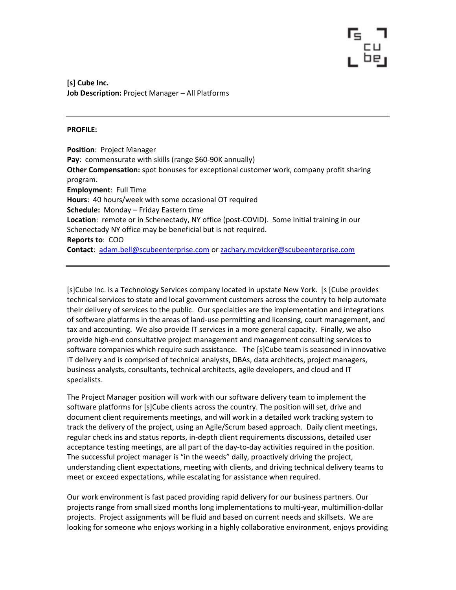[s] Cube Inc. Job Description: Project Manager - All Platforms

### PROFILE:

Position: Project Manager Pay: commensurate with skills (range \$60-90K annually) Other Compensation: spot bonuses for exceptional customer work, company profit sharing program. Employment: Full Time Hours: 40 hours/week with some occasional OT required Schedule: Monday – Friday Eastern time Location: remote or in Schenectady, NY office (post-COVID). Some initial training in our Schenectady NY office may be beneficial but is not required. Reports to: COO Contact: adam.bell@scubeenterprise.com or zachary.mcvicker@scubeenterprise.com

[s]Cube Inc. is a Technology Services company located in upstate New York. [s [Cube provides technical services to state and local government customers across the country to help automate their delivery of services to the public. Our specialties are the implementation and integrations of software platforms in the areas of land-use permitting and licensing, court management, and tax and accounting. We also provide IT services in a more general capacity. Finally, we also provide high-end consultative project management and management consulting services to software companies which require such assistance. The [s]Cube team is seasoned in innovative IT delivery and is comprised of technical analysts, DBAs, data architects, project managers, business analysts, consultants, technical architects, agile developers, and cloud and IT specialists.

The Project Manager position will work with our software delivery team to implement the software platforms for [s]Cube clients across the country. The position will set, drive and document client requirements meetings, and will work in a detailed work tracking system to track the delivery of the project, using an Agile/Scrum based approach. Daily client meetings, regular check ins and status reports, in-depth client requirements discussions, detailed user acceptance testing meetings, are all part of the day-to-day activities required in the position. The successful project manager is "in the weeds" daily, proactively driving the project, understanding client expectations, meeting with clients, and driving technical delivery teams to meet or exceed expectations, while escalating for assistance when required.

Our work environment is fast paced providing rapid delivery for our business partners. Our projects range from small sized months long implementations to multi-year, multimillion-dollar projects. Project assignments will be fluid and based on current needs and skillsets. We are looking for someone who enjoys working in a highly collaborative environment, enjoys providing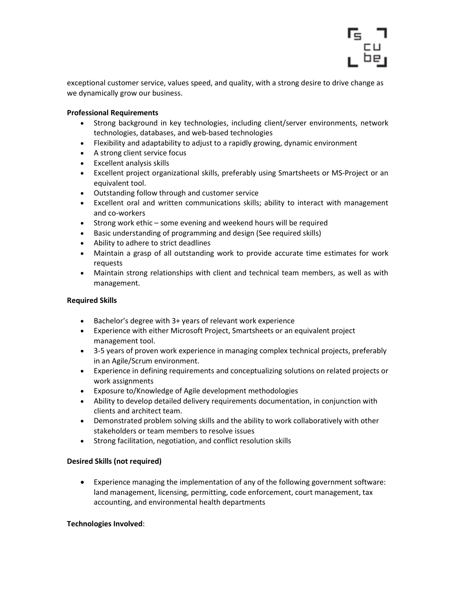

exceptional customer service, values speed, and quality, with a strong desire to drive change as we dynamically grow our business.

## Professional Requirements

- Strong background in key technologies, including client/server environments, network technologies, databases, and web-based technologies
- Flexibility and adaptability to adjust to a rapidly growing, dynamic environment
- A strong client service focus
- Excellent analysis skills
- Excellent project organizational skills, preferably using Smartsheets or MS-Project or an equivalent tool.
- Outstanding follow through and customer service
- Excellent oral and written communications skills; ability to interact with management and co-workers
- Strong work ethic some evening and weekend hours will be required
- Basic understanding of programming and design (See required skills)
- Ability to adhere to strict deadlines
- Maintain a grasp of all outstanding work to provide accurate time estimates for work requests
- Maintain strong relationships with client and technical team members, as well as with management.

# Required Skills

- Bachelor's degree with 3+ years of relevant work experience
- Experience with either Microsoft Project, Smartsheets or an equivalent project management tool.
- 3-5 years of proven work experience in managing complex technical projects, preferably in an Agile/Scrum environment.
- Experience in defining requirements and conceptualizing solutions on related projects or work assignments
- Exposure to/Knowledge of Agile development methodologies
- Ability to develop detailed delivery requirements documentation, in conjunction with clients and architect team.
- Demonstrated problem solving skills and the ability to work collaboratively with other stakeholders or team members to resolve issues
- Strong facilitation, negotiation, and conflict resolution skills

## Desired Skills (not required)

 Experience managing the implementation of any of the following government software: land management, licensing, permitting, code enforcement, court management, tax accounting, and environmental health departments

# Technologies Involved: